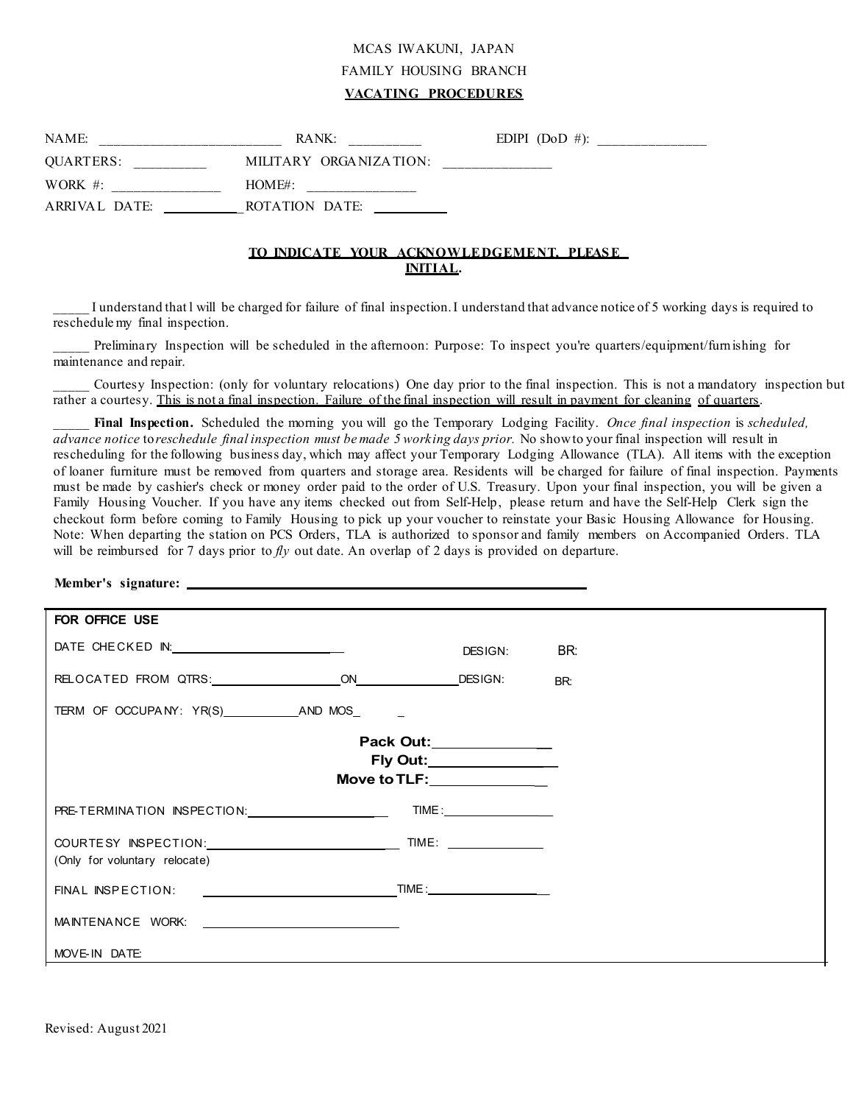# MCAS IWAKUNI, JAPAN FAMILY HOUSING BRANCH **VACATING PROCEDURES**

| NAME:            | RANK:<br>________________ | EDIPI $(DoD \#)$ :           |
|------------------|---------------------------|------------------------------|
| <b>OUARTERS:</b> | MILITARY ORGANIZATION:    | ____________________________ |
| WORK $#$ :       | $HOMF#$ :                 |                              |
| ARRIVAL DATE:    | ROTATION DATE:            |                              |

# **TO INDICATE YOUR ACKNOWLEDGEMENT, PLEAS E INITIAL.**

\_\_\_\_\_ I understand that l will be charged for failure of final inspection. I understand that advance notice of 5 working days is required to reschedule my final inspection.

Preliminary Inspection will be scheduled in the afternoon: Purpose: To inspect you're quarters/equipment/furnishing for maintenance and repair.

\_\_\_\_\_ Courtesy Inspection: (only for voluntary relocations) One day prior to the final inspection. This is not a mandatory inspection but rather a courtesy. This is not a final inspection. Failure of the final inspection will result in payment for cleaning of quarters.

\_\_\_\_\_ **Final Inspection.** Scheduled the morning you will go the Temporary Lodging Facility. *Once final inspection* is *scheduled, advance notice* to*reschedule final inspection must be made 5 working days prior.* No showto your final inspection will result in rescheduling for the following business day, which may affect your Temporary Lodging Allowance (TLA). All items with the exception of loaner furniture must be removed from quarters and storage area. Residents will be charged for failure of final inspection. Payments must be made by cashier's check or money order paid to the order of U.S. Treasury. Upon your final inspection, you will be given a Family Housing Voucher. If you have any items checked out from Self-Help, please return and have the Self-Help Clerk sign the checkout form before coming to Family Housing to pick up your voucher to reinstate your Basic Housing Allowance for Housing. Note: When departing the station on PCS Orders, TLA is authorized to sponsor and family members on Accompanied Orders. TLA will be reimbursed for 7 days prior to *fly* out date. An overlap of 2 days is provided on departure.

#### **Member's signature:**

| FOR OFFICE USE                                        |                             |                                                    |            |
|-------------------------------------------------------|-----------------------------|----------------------------------------------------|------------|
| DATE CHECKED IN: _________________________            |                             | DESIGN:                                            | <b>ER:</b> |
|                                                       |                             |                                                    | BR:        |
|                                                       |                             |                                                    |            |
|                                                       | Move to TLF: ______________ | Pack Out:______________<br>Fly Out:_______________ |            |
| PRE-TERMINATION INSPECTION: CONTINUES.                |                             | TIME:                                              |            |
| (Only for voluntary relocate)                         |                             |                                                    |            |
|                                                       |                             |                                                    |            |
| MAINTENANCE WORK: University of the MAINTENANCE WORK: |                             |                                                    |            |
| MOVE-IN DATE:                                         |                             |                                                    |            |